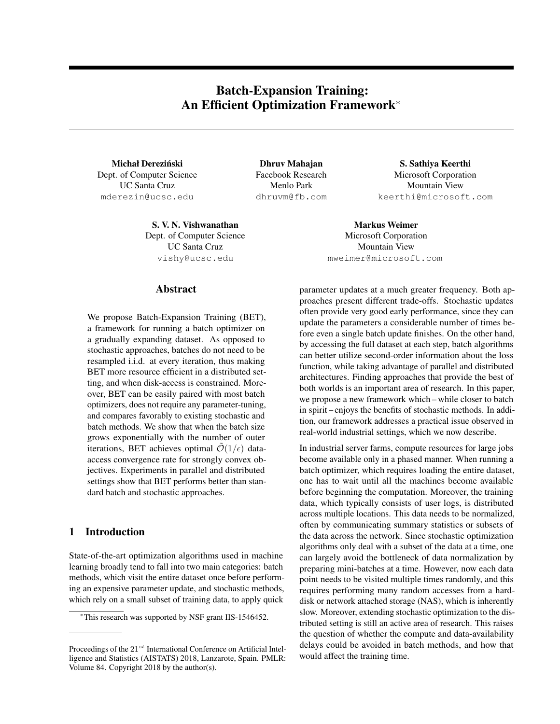# Batch-Expansion Training: An Efficient Optimization Framework<sup>\*</sup>

Michał Dereziński Dept. of Computer Science UC Santa Cruz mderezin@ucsc.edu

> S. V. N. Vishwanathan Markus Weimer Dept. of Computer Science UC Santa Cruz vishy@ucsc.edu

Dhruv Mahajan Facebook Research Menlo Park dhruvm@fb.com

S. Sathiya Keerthi Microsoft Corporation Mountain View keerthi@microsoft.com

Microsoft Corporation Mountain View mweimer@microsoft.com

### Abstract

We propose Batch-Expansion Training (BET), a framework for running a batch optimizer on a gradually expanding dataset. As opposed to stochastic approaches, batches do not need to be resampled i.i.d. at every iteration, thus making BET more resource efficient in a distributed setting, and when disk-access is constrained. Moreover, BET can be easily paired with most batch optimizers, does not require any parameter-tuning, and compares favorably to existing stochastic and batch methods. We show that when the batch size grows exponentially with the number of outer iterations, BET achieves optimal  $\mathcal{O}(1/\epsilon)$  dataaccess convergence rate for strongly convex objectives. Experiments in parallel and distributed settings show that BET performs better than standard batch and stochastic approaches.

## 1 Introduction

State-of-the-art optimization algorithms used in machine learning broadly tend to fall into two main categories: batch methods, which visit the entire dataset once before performing an expensive parameter update, and stochastic methods, which rely on a small subset of training data, to apply quick

parameter updates at a much greater frequency. Both approaches present different trade-offs. Stochastic updates often provide very good early performance, since they can update the parameters a considerable number of times before even a single batch update finishes. On the other hand, by accessing the full dataset at each step, batch algorithms can better utilize second-order information about the loss function, while taking advantage of parallel and distributed architectures. Finding approaches that provide the best of both worlds is an important area of research. In this paper, we propose a new framework which – while closer to batch in spirit – enjoys the benefits of stochastic methods. In addition, our framework addresses a practical issue observed in real-world industrial settings, which we now describe.

In industrial server farms, compute resources for large jobs become available only in a phased manner. When running a batch optimizer, which requires loading the entire dataset, one has to wait until all the machines become available before beginning the computation. Moreover, the training data, which typically consists of user logs, is distributed across multiple locations. This data needs to be normalized, often by communicating summary statistics or subsets of the data across the network. Since stochastic optimization algorithms only deal with a subset of the data at a time, one can largely avoid the bottleneck of data normalization by preparing mini-batches at a time. However, now each data point needs to be visited multiple times randomly, and this requires performing many random accesses from a harddisk or network attached storage (NAS), which is inherently slow. Moreover, extending stochastic optimization to the distributed setting is still an active area of research. This raises the question of whether the compute and data-availability delays could be avoided in batch methods, and how that would affect the training time.

<sup>⇤</sup>This research was supported by NSF grant IIS-1546452.

Proceedings of the 21*st* International Conference on Artificial Intelligence and Statistics (AISTATS) 2018, Lanzarote, Spain. PMLR: Volume 84. Copyright 2018 by the author(s).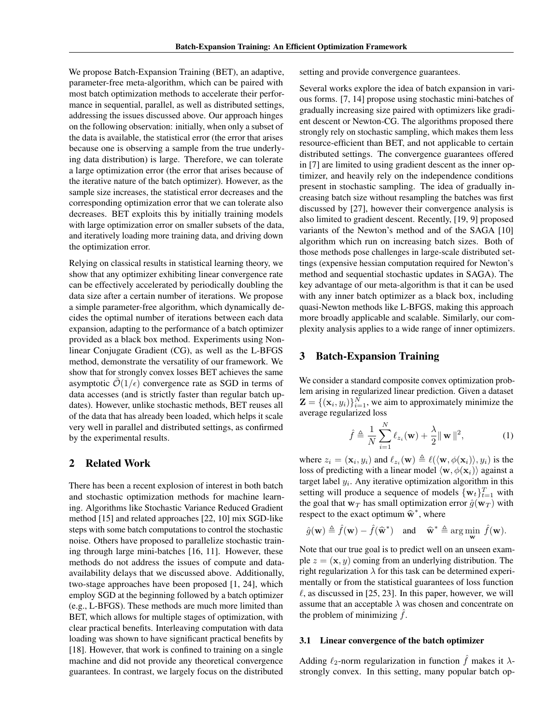We propose Batch-Expansion Training (BET), an adaptive, parameter-free meta-algorithm, which can be paired with most batch optimization methods to accelerate their performance in sequential, parallel, as well as distributed settings, addressing the issues discussed above. Our approach hinges on the following observation: initially, when only a subset of the data is available, the statistical error (the error that arises because one is observing a sample from the true underlying data distribution) is large. Therefore, we can tolerate a large optimization error (the error that arises because of the iterative nature of the batch optimizer). However, as the sample size increases, the statistical error decreases and the corresponding optimization error that we can tolerate also decreases. BET exploits this by initially training models with large optimization error on smaller subsets of the data, and iteratively loading more training data, and driving down the optimization error.

Relying on classical results in statistical learning theory, we show that any optimizer exhibiting linear convergence rate can be effectively accelerated by periodically doubling the data size after a certain number of iterations. We propose a simple parameter-free algorithm, which dynamically decides the optimal number of iterations between each data expansion, adapting to the performance of a batch optimizer provided as a black box method. Experiments using Nonlinear Conjugate Gradient (CG), as well as the L-BFGS method, demonstrate the versatility of our framework. We show that for strongly convex losses BET achieves the same asymptotic  $O(1/\epsilon)$  convergence rate as SGD in terms of data accesses (and is strictly faster than regular batch updates). However, unlike stochastic methods, BET reuses all of the data that has already been loaded, which helps it scale very well in parallel and distributed settings, as confirmed by the experimental results.

### 2 Related Work

There has been a recent explosion of interest in both batch and stochastic optimization methods for machine learning. Algorithms like Stochastic Variance Reduced Gradient method [15] and related approaches [22, 10] mix SGD-like steps with some batch computations to control the stochastic noise. Others have proposed to parallelize stochastic training through large mini-batches [16, 11]. However, these methods do not address the issues of compute and dataavailability delays that we discussed above. Additionally, two-stage approaches have been proposed [1, 24], which employ SGD at the beginning followed by a batch optimizer (e.g., L-BFGS). These methods are much more limited than BET, which allows for multiple stages of optimization, with clear practical benefits. Interleaving computation with data loading was shown to have significant practical benefits by [18]. However, that work is confined to training on a single machine and did not provide any theoretical convergence guarantees. In contrast, we largely focus on the distributed setting and provide convergence guarantees.

Several works explore the idea of batch expansion in various forms. [7, 14] propose using stochastic mini-batches of gradually increasing size paired with optimizers like gradient descent or Newton-CG. The algorithms proposed there strongly rely on stochastic sampling, which makes them less resource-efficient than BET, and not applicable to certain distributed settings. The convergence guarantees offered in [7] are limited to using gradient descent as the inner optimizer, and heavily rely on the independence conditions present in stochastic sampling. The idea of gradually increasing batch size without resampling the batches was first discussed by [27], however their convergence analysis is also limited to gradient descent. Recently, [19, 9] proposed variants of the Newton's method and of the SAGA [10] algorithm which run on increasing batch sizes. Both of those methods pose challenges in large-scale distributed settings (expensive hessian computation required for Newton's method and sequential stochastic updates in SAGA). The key advantage of our meta-algorithm is that it can be used with any inner batch optimizer as a black box, including quasi-Newton methods like L-BFGS, making this approach more broadly applicable and scalable. Similarly, our complexity analysis applies to a wide range of inner optimizers.

# 3 Batch-Expansion Training

We consider a standard composite convex optimization problem arising in regularized linear prediction. Given a dataset  $\mathbf{Z} = \{(\mathbf{x}_i, y_i)\}_{i=1}^N$ , we aim to approximately minimize the average regularized loss

$$
\hat{f} \triangleq \frac{1}{N} \sum_{i=1}^{N} \ell_{z_i}(\mathbf{w}) + \frac{\lambda}{2} ||\mathbf{w}||^2, \tag{1}
$$

where  $z_i = (\mathbf{x}_i, y_i)$  and  $\ell_{z_i}(\mathbf{w}) \triangleq \ell(\langle \mathbf{w}, \phi(\mathbf{x}_i) \rangle, y_i)$  is the loss of predicting with a linear model  $\langle \mathbf{w}, \phi(\mathbf{x}_i) \rangle$  against a target label *yi*. Any iterative optimization algorithm in this setting will produce a sequence of models  $\{w_t\}_{t=1}^T$  with the goal that  $w_T$  has small optimization error  $\hat{g}(w_T)$  with respect to the exact optimum  $\widehat{\mathbf{w}}^*$ , where

$$
\hat{g}(\mathbf{w}) \triangleq \hat{f}(\mathbf{w}) - \hat{f}(\hat{\mathbf{w}}^*)
$$
 and  $\hat{\mathbf{w}}^* \triangleq \arg \min_{\mathbf{w}} \hat{f}(\mathbf{w}).$ 

Note that our true goal is to predict well on an unseen example  $z = (\mathbf{x}, y)$  coming from an underlying distribution. The right regularization  $\lambda$  for this task can be determined experimentally or from the statistical guarantees of loss function  $\ell$ , as discussed in [25, 23]. In this paper, however, we will assume that an acceptable  $\lambda$  was chosen and concentrate on the problem of minimizing  $f$ .

#### 3.1 Linear convergence of the batch optimizer

Adding  $\ell_2$ -norm regularization in function  $\hat{f}$  makes it  $\lambda$ strongly convex. In this setting, many popular batch op-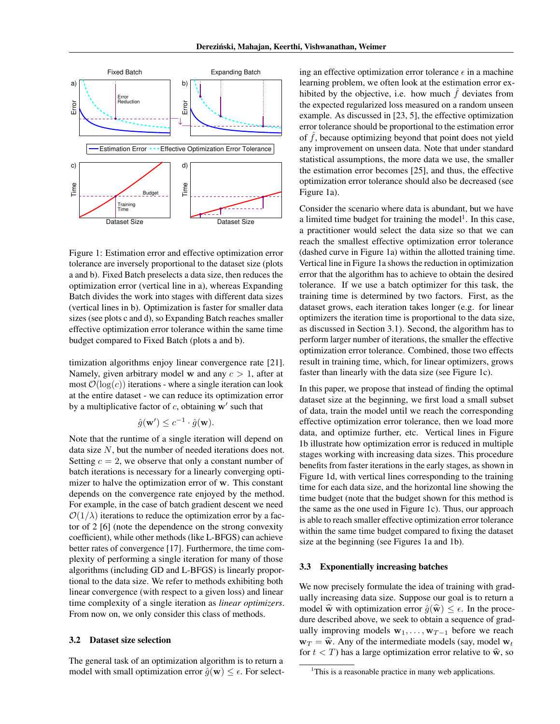

Figure 1: Estimation error and effective optimization error tolerance are inversely proportional to the dataset size (plots a and b). Fixed Batch preselects a data size, then reduces the optimization error (vertical line in a), whereas Expanding Batch divides the work into stages with different data sizes (vertical lines in b). Optimization is faster for smaller data sizes (see plots c and d), so Expanding Batch reaches smaller effective optimization error tolerance within the same time budget compared to Fixed Batch (plots a and b).

timization algorithms enjoy linear convergence rate [21]. Namely, given arbitrary model w and any *c >* 1, after at most  $\mathcal{O}(\log(c))$  iterations - where a single iteration can look at the entire dataset - we can reduce its optimization error by a multiplicative factor of  $c$ , obtaining  $w'$  such that

$$
\hat{g}(\mathbf{w}') \leq c^{-1} \cdot \hat{g}(\mathbf{w}).
$$

Note that the runtime of a single iteration will depend on data size *N*, but the number of needed iterations does not. Setting  $c = 2$ , we observe that only a constant number of batch iterations is necessary for a linearly converging optimizer to halve the optimization error of w. This constant depends on the convergence rate enjoyed by the method. For example, in the case of batch gradient descent we need  $O(1/\lambda)$  iterations to reduce the optimization error by a factor of 2 [6] (note the dependence on the strong convexity coefficient), while other methods (like L-BFGS) can achieve better rates of convergence [17]. Furthermore, the time complexity of performing a single iteration for many of those algorithms (including GD and L-BFGS) is linearly proportional to the data size. We refer to methods exhibiting both linear convergence (with respect to a given loss) and linear time complexity of a single iteration as *linear optimizers*. From now on, we only consider this class of methods.

### 3.2 Dataset size selection

The general task of an optimization algorithm is to return a model with small optimization error  $\hat{g}(\mathbf{w}) \leq \epsilon$ . For select-

ing an effective optimization error tolerance  $\epsilon$  in a machine learning problem, we often look at the estimation error exhibited by the objective, i.e. how much  $\hat{f}$  deviates from the expected regularized loss measured on a random unseen example. As discussed in [23, 5], the effective optimization error tolerance should be proportional to the estimation error of  $\hat{f}$ , because optimizing beyond that point does not yield any improvement on unseen data. Note that under standard statistical assumptions, the more data we use, the smaller the estimation error becomes [25], and thus, the effective optimization error tolerance should also be decreased (see Figure 1a).

Consider the scenario where data is abundant, but we have a limited time budget for training the model<sup>1</sup>. In this case, a practitioner would select the data size so that we can reach the smallest effective optimization error tolerance (dashed curve in Figure 1a) within the allotted training time. Vertical line in Figure 1a shows the reduction in optimization error that the algorithm has to achieve to obtain the desired tolerance. If we use a batch optimizer for this task, the training time is determined by two factors. First, as the dataset grows, each iteration takes longer (e.g. for linear optimizers the iteration time is proportional to the data size, as discussed in Section 3.1). Second, the algorithm has to perform larger number of iterations, the smaller the effective optimization error tolerance. Combined, those two effects result in training time, which, for linear optimizers, grows faster than linearly with the data size (see Figure 1c).

In this paper, we propose that instead of finding the optimal dataset size at the beginning, we first load a small subset of data, train the model until we reach the corresponding effective optimization error tolerance, then we load more data, and optimize further, etc. Vertical lines in Figure 1b illustrate how optimization error is reduced in multiple stages working with increasing data sizes. This procedure benefits from faster iterations in the early stages, as shown in Figure 1d, with vertical lines corresponding to the training time for each data size, and the horizontal line showing the time budget (note that the budget shown for this method is the same as the one used in Figure 1c). Thus, our approach is able to reach smaller effective optimization error tolerance within the same time budget compared to fixing the dataset size at the beginning (see Figures 1a and 1b).

### 3.3 Exponentially increasing batches

We now precisely formulate the idea of training with gradually increasing data size. Suppose our goal is to return a model  $\hat{\mathbf{w}}$  with optimization error  $\hat{g}(\hat{\mathbf{w}}) \leq \epsilon$ . In the procedure described above, we seek to obtain a sequence of gradually improving models  $w_1, \ldots, w_{T-1}$  before we reach  $w_T = \hat{w}$ . Any of the intermediate models (say, model  $w_t$ ) for  $t < T$ ) has a large optimization error relative to  $\hat{\mathbf{w}}$ , so

<sup>&</sup>lt;sup>1</sup>This is a reasonable practice in many web applications.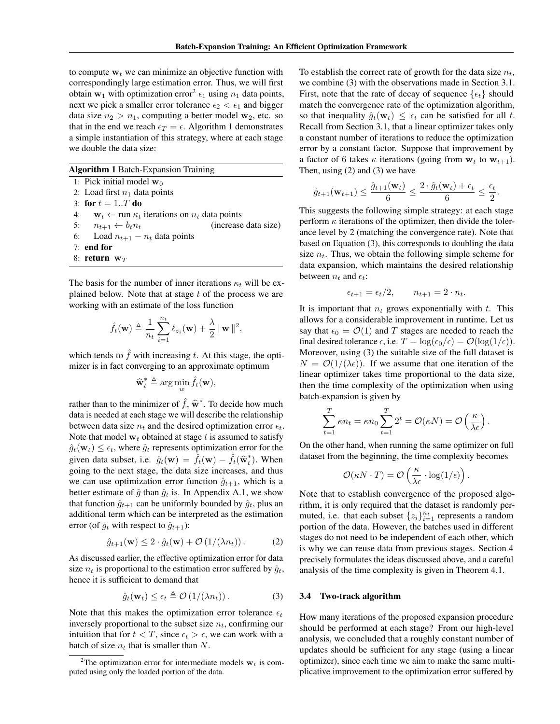to compute  $w_t$  we can minimize an objective function with correspondingly large estimation error. Thus, we will first obtain  $w_1$  with optimization error<sup>2</sup>  $\epsilon_1$  using  $n_1$  data points, next we pick a smaller error tolerance  $\epsilon_2 < \epsilon_1$  and bigger data size  $n_2 > n_1$ , computing a better model  $w_2$ , etc. so that in the end we reach  $\epsilon_T = \epsilon$ . Algorithm 1 demonstrates a simple instantiation of this strategy, where at each stage we double the data size:

| <b>Algorithm 1 Batch-Expansion Training</b> |  |  |  |  |  |  |
|---------------------------------------------|--|--|--|--|--|--|
|---------------------------------------------|--|--|--|--|--|--|

1: Pick initial model  $w_0$ 2: Load first  $n_1$  data points 3: for  $t = 1..T$  do 4:  $\mathbf{w}_t \leftarrow \text{run } \kappa_t$  iterations on  $n_t$  data points<br>5:  $n_{t+1} \leftarrow b_t n_t$  (increase 5:  $n_{t+1} \leftarrow b_t n_t$  (increase data size)<br>6: Load  $n_{t+1} - n_t$  data points

- Load  $n_{t+1} n_t$  data points
- 7: end for

8: return w*<sup>T</sup>*

The basis for the number of inner iterations  $\kappa_t$  will be explained below. Note that at stage *t* of the process we are working with an estimate of the loss function

$$
\hat{f}_t(\mathbf{w}) \triangleq \frac{1}{n_t} \sum_{i=1}^{n_t} \ell_{z_i}(\mathbf{w}) + \frac{\lambda}{2} ||\mathbf{w}||^2,
$$

which tends to  $\hat{f}$  with increasing  $t$ . At this stage, the optimizer is in fact converging to an approximate optimum

$$
\widehat{\mathbf{w}}_t^* \triangleq \arg\min_{w} \widehat{f}_t(\mathbf{w}),
$$

rather than to the minimizer of  $\hat{f}$ ,  $\hat{\mathbf{w}}^*$ . To decide how much data is needed at each stage we will describe the relationship between data size  $n_t$  and the desired optimization error  $\epsilon_t$ . Note that model  $w_t$  obtained at stage  $t$  is assumed to satisfy  $\hat{g}_t(\mathbf{w}_t) \leq \epsilon_t$ , where  $\hat{g}_t$  represents optimization error for the given data subset, i.e.  $\hat{g}_t(\mathbf{w}) = \hat{f}_t(\mathbf{w}) - \hat{f}_t(\hat{\mathbf{w}}_t^*)$ . When going to the next stage, the data size increases, and thus we can use optimization error function  $\hat{g}_{t+1}$ , which is a better estimate of  $\hat{g}$  than  $\hat{g}_t$  is. In Appendix A.1, we show that function  $\hat{g}_{t+1}$  can be uniformly bounded by  $\hat{g}_t$ , plus an additional term which can be interpreted as the estimation error (of  $\hat{g}_t$  with respect to  $\hat{g}_{t+1}$ ):

$$
\hat{g}_{t+1}(\mathbf{w}) \le 2 \cdot \hat{g}_t(\mathbf{w}) + \mathcal{O}\left(1/(\lambda n_t)\right). \tag{2}
$$

As discussed earlier, the effective optimization error for data size  $n_t$  is proportional to the estimation error suffered by  $\hat{g}_t$ , hence it is sufficient to demand that

$$
\hat{g}_t(\mathbf{w}_t) \le \epsilon_t \triangleq \mathcal{O}\left(1/(\lambda n_t)\right). \tag{3}
$$

Note that this makes the optimization error tolerance  $\epsilon_t$ inversely proportional to the subset size *nt*, confirming our intuition that for  $t < T$ , since  $\epsilon_t > \epsilon$ , we can work with a batch of size  $n_t$  that is smaller than N.

To establish the correct rate of growth for the data size  $n_t$ , we combine (3) with the observations made in Section 3.1. First, note that the rate of decay of sequence  $\{\epsilon_t\}$  should match the convergence rate of the optimization algorithm, so that inequality  $\hat{g}_t(\mathbf{w}_t) \leq \epsilon_t$  can be satisfied for all t. Recall from Section 3.1, that a linear optimizer takes only a constant number of iterations to reduce the optimization error by a constant factor. Suppose that improvement by a factor of 6 takes  $\kappa$  iterations (going from  $w_t$  to  $w_{t+1}$ ). Then, using (2) and (3) we have

$$
\hat{g}_{t+1}(\mathbf{w}_{t+1}) \leq \frac{\hat{g}_{t+1}(\mathbf{w}_t)}{6} \leq \frac{2 \cdot \hat{g}_t(\mathbf{w}_t) + \epsilon_t}{6} \leq \frac{\epsilon_t}{2}.
$$

This suggests the following simple strategy: at each stage perform  $\kappa$  iterations of the optimizer, then divide the tolerance level by 2 (matching the convergence rate). Note that based on Equation (3), this corresponds to doubling the data size  $n_t$ . Thus, we obtain the following simple scheme for data expansion, which maintains the desired relationship between  $n_t$  and  $\epsilon_t$ :

$$
\epsilon_{t+1} = \epsilon_t/2, \qquad n_{t+1} = 2 \cdot n_t.
$$

It is important that  $n_t$  grows exponentially with  $t$ . This allows for a considerable improvement in runtime. Let us say that  $\epsilon_0 = \mathcal{O}(1)$  and *T* stages are needed to reach the final desired tolerance  $\epsilon$ , i.e.  $T = \log(\epsilon_0/\epsilon) = \mathcal{O}(\log(1/\epsilon)).$ Moreover, using (3) the suitable size of the full dataset is  $N = \mathcal{O}(1/(\lambda \epsilon))$ . If we assume that one iteration of the linear optimizer takes time proportional to the data size, then the time complexity of the optimization when using batch-expansion is given by

$$
\sum_{t=1}^{T} \kappa n_t = \kappa n_0 \sum_{t=1}^{T} 2^t = \mathcal{O}(\kappa N) = \mathcal{O}\left(\frac{\kappa}{\lambda \epsilon}\right).
$$

On the other hand, when running the same optimizer on full dataset from the beginning, the time complexity becomes

$$
\mathcal{O}(\kappa N \cdot T) = \mathcal{O}\left(\frac{\kappa}{\lambda \epsilon} \cdot \log(1/\epsilon)\right).
$$

Note that to establish convergence of the proposed algorithm, it is only required that the dataset is randomly permuted, i.e. that each subset  $\{z_i\}_{i=1}^{n_t}$  represents a random portion of the data. However, the batches used in different stages do not need to be independent of each other, which is why we can reuse data from previous stages. Section 4 precisely formulates the ideas discussed above, and a careful analysis of the time complexity is given in Theorem 4.1.

#### 3.4 Two-track algorithm

How many iterations of the proposed expansion procedure should be performed at each stage? From our high-level analysis, we concluded that a roughly constant number of updates should be sufficient for any stage (using a linear optimizer), since each time we aim to make the same multiplicative improvement to the optimization error suffered by

<sup>&</sup>lt;sup>2</sup>The optimization error for intermediate models  $w_t$  is computed using only the loaded portion of the data.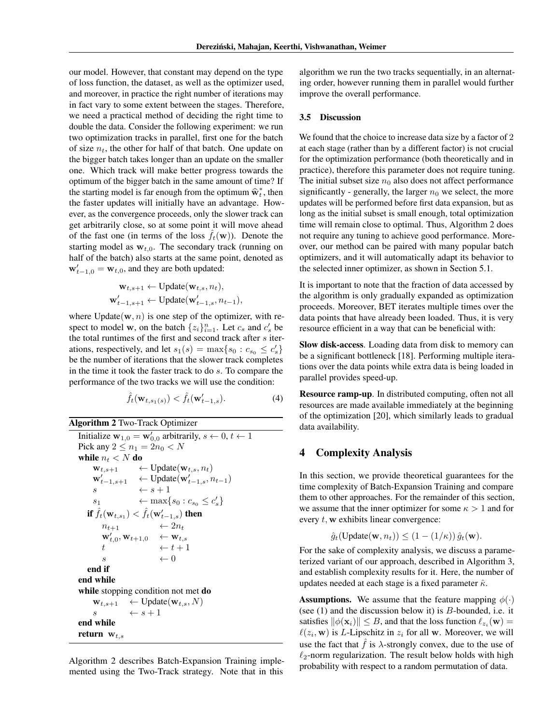our model. However, that constant may depend on the type of loss function, the dataset, as well as the optimizer used, and moreover, in practice the right number of iterations may in fact vary to some extent between the stages. Therefore, we need a practical method of deciding the right time to double the data. Consider the following experiment: we run two optimization tracks in parallel, first one for the batch of size  $n_t$ , the other for half of that batch. One update on the bigger batch takes longer than an update on the smaller one. Which track will make better progress towards the optimum of the bigger batch in the same amount of time? If the starting model is far enough from the optimum  $\hat{\mathbf{w}}_t^*$ , then the factor of the starting in the starting of the starting of the starting of the starting of the starting of the starting of the starting of the star the faster updates will initially have an advantage. However, as the convergence proceeds, only the slower track can get arbitrarily close, so at some point it will move ahead of the fast one (in terms of the loss  $\hat{f}_t(\mathbf{w})$ ). Denote the starting model as  $w_{t,0}$ . The secondary track (running on half of the batch) also starts at the same point, denoted as  $\mathbf{w}'_{t-1,0} = \mathbf{w}_{t,0}$ , and they are both updated:

$$
\mathbf{w}_{t,s+1} \leftarrow \text{Update}(\mathbf{w}_{t,s}, n_t),
$$
  

$$
\mathbf{w}'_{t-1,s+1} \leftarrow \text{Update}(\mathbf{w}'_{t-1,s}, n_{t-1}),
$$

where  $Update(\mathbf{w}, n)$  is one step of the optimizer, with respect to model **w**, on the batch  $\{z_i\}_{i=1}^n$ . Let  $c_s$  and  $c'_s$  be the total runtimes of the first and second track after *s* iterations, respectively, and let  $s_1(s) = \max\{s_0 : c_{s_0} \leq c'_s\}$ be the number of iterations that the slower track completes in the time it took the faster track to do *s*. To compare the performance of the two tracks we will use the condition:

$$
\hat{f}_t(\mathbf{w}_{t,s_1(s)}) < \hat{f}_t(\mathbf{w}'_{t-1,s}).\tag{4}
$$

Algorithm 2 Two-Track Optimizer

```
Initialize \mathbf{w}_{1,0} = \mathbf{w}'_{0,0} arbitrarily, s \leftarrow 0, t \leftarrow 1Pick any 2 \le n_1 = 2n_0 < Nwhile n_t < N do
     \mathbf{w}_{t,s+1} \leftarrow \text{Update}(\mathbf{w}_{t,s}, n_t)\mathbf{w}'_{t-1,s+1} \leftarrow \text{Update}(\mathbf{w}'_{t-1,s}, n_{t-1})s \leftarrow s+1s<sub>1</sub> \leftarrow max\{s_0 : c_{s_0} \le c'_s\}if \hat{f}_t(\mathbf{w}_{t,s_1}) < \hat{f}_t(\mathbf{w}'_{t-1,s}) then
          n_{t+1} \leftarrow 2n_t\mathbf{w}'_{t,0}, \mathbf{w}_{t+1,0} \quad \leftarrow \mathbf{w}_{t,s}t \leftarrow t + 1s \leftarrow 0end if
end while
while stopping condition not met do
      \mathbf{w}_{t,s+1} \leftarrow \text{Update}(\mathbf{w}_{t,s}, N)<br>
s \leftarrow s+1\leftarrow s + 1
end while
return wt,s
```
Algorithm 2 describes Batch-Expansion Training implemented using the Two-Track strategy. Note that in this

algorithm we run the two tracks sequentially, in an alternating order, however running them in parallel would further improve the overall performance.

#### 3.5 Discussion

We found that the choice to increase data size by a factor of 2 at each stage (rather than by a different factor) is not crucial for the optimization performance (both theoretically and in practice), therefore this parameter does not require tuning. The initial subset size  $n_0$  also does not affect performance significantly - generally, the larger  $n_0$  we select, the more updates will be performed before first data expansion, but as long as the initial subset is small enough, total optimization time will remain close to optimal. Thus, Algorithm 2 does not require any tuning to achieve good performance. Moreover, our method can be paired with many popular batch optimizers, and it will automatically adapt its behavior to the selected inner optimizer, as shown in Section 5.1.

It is important to note that the fraction of data accessed by the algorithm is only gradually expanded as optimization proceeds. Moreover, BET iterates multiple times over the data points that have already been loaded. Thus, it is very resource efficient in a way that can be beneficial with:

Slow disk-access. Loading data from disk to memory can be a significant bottleneck [18]. Performing multiple iterations over the data points while extra data is being loaded in parallel provides speed-up.

Resource ramp-up. In distributed computing, often not all resources are made available immediately at the beginning of the optimization [20], which similarly leads to gradual data availability.

## 4 Complexity Analysis

In this section, we provide theoretical guarantees for the time complexity of Batch-Expansion Training and compare them to other approaches. For the remainder of this section, we assume that the inner optimizer for some  $\kappa > 1$  and for every *t,* w exhibits linear convergence:

$$
\hat{g}_t(\text{Update}(\mathbf{w}, n_t)) \leq (1 - (1/\kappa)) \hat{g}_t(\mathbf{w}).
$$

For the sake of complexity analysis, we discuss a parameterized variant of our approach, described in Algorithm 3, and establish complexity results for it. Here, the number of updates needed at each stage is a fixed parameter  $\hat{\kappa}$ .

**Assumptions.** We assume that the feature mapping  $\phi(\cdot)$ (see (1) and the discussion below it) is *B*-bounded, i.e. it satisfies  $\|\phi(\mathbf{x}_i)\| \leq B$ , and that the loss function  $\ell_{z_i}(\mathbf{w}) =$  $\ell(z_i, \mathbf{w})$  is *L*-Lipschitz in  $z_i$  for all w. Moreover, we will use the fact that  $\hat{f}$  is  $\lambda$ -strongly convex, due to the use of  $\ell_2$ -norm regularization. The result below holds with high probability with respect to a random permutation of data.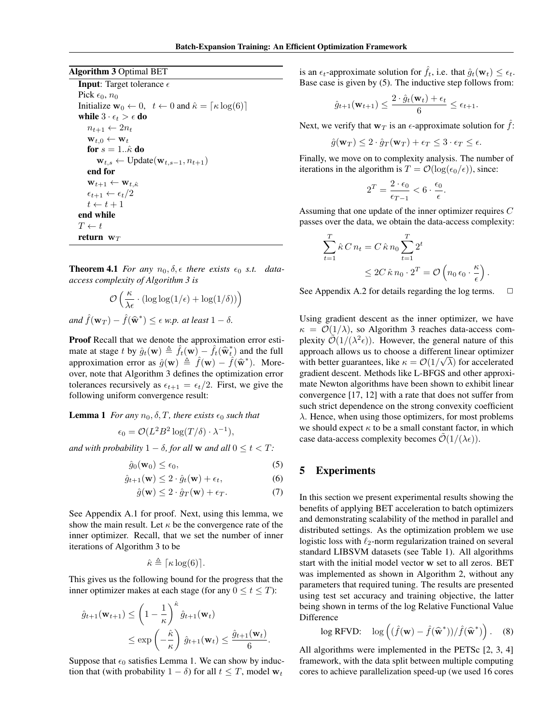#### Algorithm 3 Optimal BET

**Input:** Target tolerance  $\epsilon$ Pick  $\epsilon_0$ ,  $n_0$ Initialize  $\mathbf{w}_0 \leftarrow 0$ ,  $t \leftarrow 0$  and  $\hat{\kappa} = [\kappa \log(6)]$ while  $3\cdot\epsilon_t>\epsilon$  do  $n_{t+1} \leftarrow 2n_t$  $\mathbf{w}_{t,0} \leftarrow \mathbf{w}_t$ for  $s = 1..\hat{\kappa}$  do  $\mathbf{w}_{t,s} \leftarrow \text{Update}(\mathbf{w}_{t,s-1}, n_{t+1})$ end for  $\mathbf{w}_{t+1} \leftarrow \mathbf{w}_{t,\hat{\kappa}}$  $\epsilon_{t+1} \leftarrow \epsilon_t/2$  $t \leftarrow t + 1$ end while  $T \leftarrow t$ return w*<sup>T</sup>*

**Theorem 4.1** For any  $n_0, \delta, \epsilon$  there exists  $\epsilon_0$  *s.t.* data*access complexity of Algorithm 3 is*

$$
\mathcal{O}\left(\frac{\kappa}{\lambda \epsilon} \cdot (\log \log(1/\epsilon) + \log(1/\delta))\right)
$$
  
and  $\hat{f}(\mathbf{w}_T) - \hat{f}(\hat{\mathbf{w}}^*) \le \epsilon \text{ w.p. at least } 1 - \delta.$ 

Proof Recall that we denote the approximation error estimate at stage *t* by  $\hat{g}_t(\mathbf{w}) \triangleq \hat{f}_t(\mathbf{w}) - \hat{f}_t(\hat{\mathbf{w}}_t^*)$  and the full approximation error as  $\hat{g}(\mathbf{w}) \triangleq \hat{f}(\mathbf{w}) - \hat{f}(\hat{\mathbf{w}}^*)$ . Moreover, note that Algorithm 3 defines the optimization error tolerances recursively as  $\epsilon_{t+1} = \epsilon_t/2$ . First, we give the following uniform convergence result:

### **Lemma 1** *For any*  $n_0$ ,  $\delta$ ,  $T$ *, there exists*  $\epsilon_0$  *such that*

$$
\epsilon_0 = \mathcal{O}(L^2 B^2 \log(T/\delta) \cdot \lambda^{-1}),
$$

*and with probability*  $1 - \delta$ *, for all* **w** *and all*  $0 \le t < T$ *:* 

$$
\hat{g}_0(\mathbf{w}_0) \le \epsilon_0,\tag{5}
$$

$$
\hat{g}_{t+1}(\mathbf{w}) \le 2 \cdot \hat{g}_t(\mathbf{w}) + \epsilon_t, \tag{6}
$$

$$
\hat{g}(\mathbf{w}) \le 2 \cdot \hat{g}_T(\mathbf{w}) + \epsilon_T. \tag{7}
$$

See Appendix A.1 for proof. Next, using this lemma, we show the main result. Let  $\kappa$  be the convergence rate of the inner optimizer. Recall, that we set the number of inner iterations of Algorithm 3 to be

$$
\hat{\kappa} \triangleq \lceil \kappa \log(6) \rceil.
$$

This gives us the following bound for the progress that the inner optimizer makes at each stage (for any  $0 \le t \le T$ ):

$$
\hat{g}_{t+1}(\mathbf{w}_{t+1}) \leq \left(1 - \frac{1}{\kappa}\right)^{\hat{\kappa}} \hat{g}_{t+1}(\mathbf{w}_t)
$$
\n
$$
\leq \exp\left(-\frac{\hat{\kappa}}{\kappa}\right) \hat{g}_{t+1}(\mathbf{w}_t) \leq \frac{\hat{g}_{t+1}(\mathbf{w}_t)}{6}.
$$

Suppose that  $\epsilon_0$  satisfies Lemma 1. We can show by induction that (with probability  $1 - \delta$ ) for all  $t \leq T$ , model  $w_t$ 

is an  $\epsilon_t$ -approximate solution for  $\hat{f}_t$ , i.e. that  $\hat{g}_t(\mathbf{w}_t) \leq \epsilon_t$ . Base case is given by (5). The inductive step follows from:

$$
\hat{g}_{t+1}(\mathbf{w}_{t+1}) \leq \frac{2 \cdot \hat{g}_t(\mathbf{w}_t) + \epsilon_t}{6} \leq \epsilon_{t+1}.
$$

Next, we verify that  $w_T$  is an  $\epsilon$ -approximate solution for  $\hat{f}$ :

$$
\hat{g}(\mathbf{w}_T) \le 2 \cdot \hat{g}_T(\mathbf{w}_T) + \epsilon_T \le 3 \cdot \epsilon_T \le \epsilon.
$$

Finally, we move on to complexity analysis. The number of iterations in the algorithm is  $T = \mathcal{O}(\log(\epsilon_0/\epsilon))$ , since:

$$
2^T = \frac{2 \cdot \epsilon_0}{\epsilon_{T-1}} < 6 \cdot \frac{\epsilon_0}{\epsilon}.
$$

Assuming that one update of the inner optimizer requires *C* passes over the data, we obtain the data-access complexity:

$$
\sum_{t=1}^{T} \hat{\kappa} C n_t = C \hat{\kappa} n_0 \sum_{t=1}^{T} 2^t
$$
  
 
$$
\leq 2C \hat{\kappa} n_0 \cdot 2^T = \mathcal{O} \left( n_0 \epsilon_0 \cdot \frac{\kappa}{\epsilon} \right).
$$

See Appendix A.2 for details regarding the log terms.  $\Box$ 

Using gradient descent as the inner optimizer, we have  $\kappa = \mathcal{O}(1/\lambda)$ , so Algorithm 3 reaches data-access complexity  $\mathcal{O}(1/(\lambda^2 \epsilon))$ . However, the general nature of this approach allows us to choose a different linear optimizer with better guarantees, like  $\kappa = O(1/\sqrt{\lambda})$  for accelerated gradient descent. Methods like L-BFGS and other approximate Newton algorithms have been shown to exhibit linear convergence [17, 12] with a rate that does not suffer from such strict dependence on the strong convexity coefficient  $\lambda$ . Hence, when using those optimizers, for most problems we should expect  $\kappa$  to be a small constant factor, in which case data-access complexity becomes  $\mathcal{O}(1/(\lambda \epsilon))$ .

# 5 Experiments

In this section we present experimental results showing the benefits of applying BET acceleration to batch optimizers and demonstrating scalability of the method in parallel and distributed settings. As the optimization problem we use logistic loss with  $\ell_2$ -norm regularization trained on several standard LIBSVM datasets (see Table 1). All algorithms start with the initial model vector w set to all zeros. BET was implemented as shown in Algorithm 2, without any parameters that required tuning. The results are presented using test set accuracy and training objective, the latter being shown in terms of the log Relative Functional Value Difference

$$
\log \mathrm{RFVD:} \quad \log \left( (\hat{f}(\mathbf{w}) - \hat{f}(\widehat{\mathbf{w}}^*)) / \hat{f}(\widehat{\mathbf{w}}^*) \right). \quad (8)
$$

All algorithms were implemented in the PETSc [2, 3, 4] framework, with the data split between multiple computing cores to achieve parallelization speed-up (we used 16 cores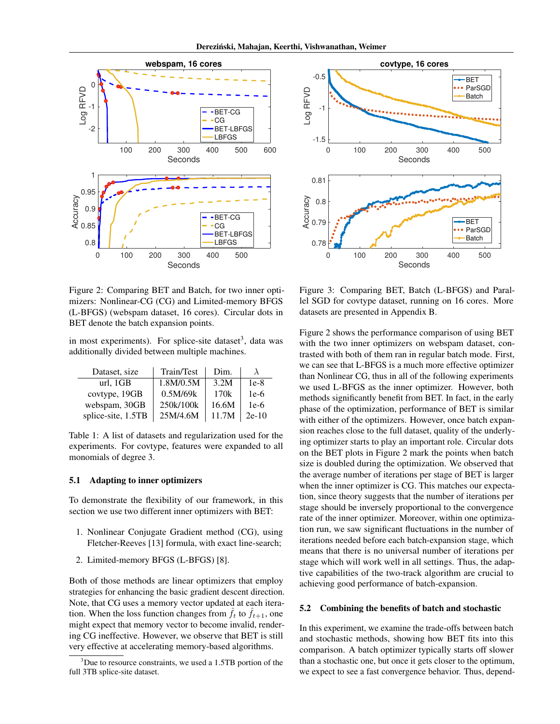

Figure 2: Comparing BET and Batch, for two inner optimizers: Nonlinear-CG (CG) and Limited-memory BFGS (L-BFGS) (webspam dataset, 16 cores). Circular dots in BET denote the batch expansion points.

in most experiments). For splice-site dataset<sup>3</sup>, data was additionally divided between multiple machines.

| Dataset, size      | Train/Test | Dim.  |         |
|--------------------|------------|-------|---------|
| url. 1GB           | 1.8M/0.5M  | 3.2M  | $1e-8$  |
| covtype, 19GB      | 0.5M/69k   | 170k  | $1e-6$  |
| webspam, 30GB      | 250k/100k  | 16.6M | $1e-6$  |
| splice-site, 1.5TB | 25M/4.6M   | 11.7M | $2e-10$ |

Table 1: A list of datasets and regularization used for the experiments. For covtype, features were expanded to all monomials of degree 3.

### 5.1 Adapting to inner optimizers

To demonstrate the flexibility of our framework, in this section we use two different inner optimizers with BET:

- 1. Nonlinear Conjugate Gradient method (CG), using Fletcher-Reeves [13] formula, with exact line-search;
- 2. Limited-memory BFGS (L-BFGS) [8].

Both of those methods are linear optimizers that employ strategies for enhancing the basic gradient descent direction. Note, that CG uses a memory vector updated at each iteration. When the loss function changes from  $\hat{f}_t$  to  $\hat{f}_{t+1}$ , one might expect that memory vector to become invalid, rendering CG ineffective. However, we observe that BET is still very effective at accelerating memory-based algorithms.



Figure 3: Comparing BET, Batch (L-BFGS) and Parallel SGD for covtype dataset, running on 16 cores. More datasets are presented in Appendix B.

Figure 2 shows the performance comparison of using BET with the two inner optimizers on webspam dataset, contrasted with both of them ran in regular batch mode. First, we can see that L-BFGS is a much more effective optimizer than Nonlinear CG, thus in all of the following experiments we used L-BFGS as the inner optimizer. However, both methods significantly benefit from BET. In fact, in the early phase of the optimization, performance of BET is similar with either of the optimizers. However, once batch expansion reaches close to the full dataset, quality of the underlying optimizer starts to play an important role. Circular dots on the BET plots in Figure 2 mark the points when batch size is doubled during the optimization. We observed that the average number of iterations per stage of BET is larger when the inner optimizer is CG. This matches our expectation, since theory suggests that the number of iterations per stage should be inversely proportional to the convergence rate of the inner optimizer. Moreover, within one optimization run, we saw significant fluctuations in the number of iterations needed before each batch-expansion stage, which means that there is no universal number of iterations per stage which will work well in all settings. Thus, the adaptive capabilities of the two-track algorithm are crucial to achieving good performance of batch-expansion.

#### 5.2 Combining the benefits of batch and stochastic

In this experiment, we examine the trade-offs between batch and stochastic methods, showing how BET fits into this comparison. A batch optimizer typically starts off slower than a stochastic one, but once it gets closer to the optimum, we expect to see a fast convergence behavior. Thus, depend-

<sup>&</sup>lt;sup>3</sup>Due to resource constraints, we used a 1.5TB portion of the full 3TB splice-site dataset.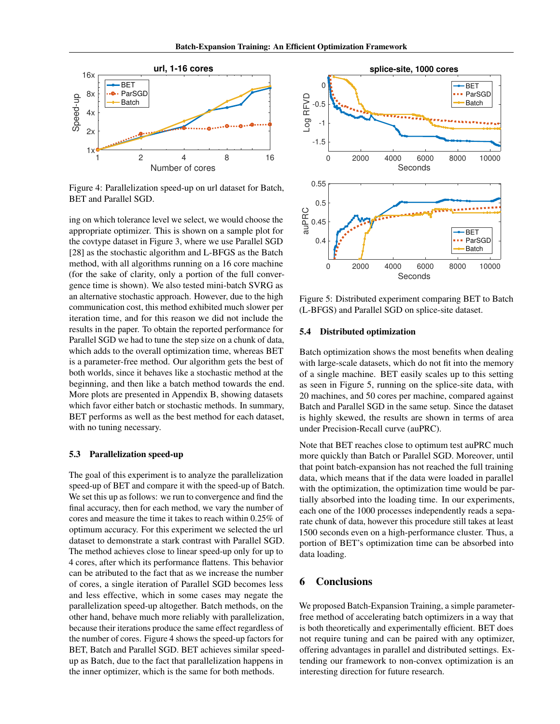

Figure 4: Parallelization speed-up on url dataset for Batch, BET and Parallel SGD.

ing on which tolerance level we select, we would choose the appropriate optimizer. This is shown on a sample plot for the covtype dataset in Figure 3, where we use Parallel SGD [28] as the stochastic algorithm and L-BFGS as the Batch method, with all algorithms running on a 16 core machine (for the sake of clarity, only a portion of the full convergence time is shown). We also tested mini-batch SVRG as an alternative stochastic approach. However, due to the high communication cost, this method exhibited much slower per iteration time, and for this reason we did not include the results in the paper. To obtain the reported performance for Parallel SGD we had to tune the step size on a chunk of data, which adds to the overall optimization time, whereas BET is a parameter-free method. Our algorithm gets the best of both worlds, since it behaves like a stochastic method at the beginning, and then like a batch method towards the end. More plots are presented in Appendix B, showing datasets which favor either batch or stochastic methods. In summary, BET performs as well as the best method for each dataset, with no tuning necessary.

### 5.3 Parallelization speed-up

The goal of this experiment is to analyze the parallelization speed-up of BET and compare it with the speed-up of Batch. We set this up as follows: we run to convergence and find the final accuracy, then for each method, we vary the number of cores and measure the time it takes to reach within 0.25% of optimum accuracy. For this experiment we selected the url dataset to demonstrate a stark contrast with Parallel SGD. The method achieves close to linear speed-up only for up to 4 cores, after which its performance flattens. This behavior can be atributed to the fact that as we increase the number of cores, a single iteration of Parallel SGD becomes less and less effective, which in some cases may negate the parallelization speed-up altogether. Batch methods, on the other hand, behave much more reliably with parallelization, because their iterations produce the same effect regardless of the number of cores. Figure 4 shows the speed-up factors for BET, Batch and Parallel SGD. BET achieves similar speedup as Batch, due to the fact that parallelization happens in the inner optimizer, which is the same for both methods.



Figure 5: Distributed experiment comparing BET to Batch (L-BFGS) and Parallel SGD on splice-site dataset.

### 5.4 Distributed optimization

Batch optimization shows the most benefits when dealing with large-scale datasets, which do not fit into the memory of a single machine. BET easily scales up to this setting as seen in Figure 5, running on the splice-site data, with 20 machines, and 50 cores per machine, compared against Batch and Parallel SGD in the same setup. Since the dataset is highly skewed, the results are shown in terms of area under Precision-Recall curve (auPRC).

Note that BET reaches close to optimum test auPRC much more quickly than Batch or Parallel SGD. Moreover, until that point batch-expansion has not reached the full training data, which means that if the data were loaded in parallel with the optimization, the optimization time would be partially absorbed into the loading time. In our experiments, each one of the 1000 processes independently reads a separate chunk of data, however this procedure still takes at least 1500 seconds even on a high-performance cluster. Thus, a portion of BET's optimization time can be absorbed into data loading.

### 6 Conclusions

We proposed Batch-Expansion Training, a simple parameterfree method of accelerating batch optimizers in a way that is both theoretically and experimentally efficient. BET does not require tuning and can be paired with any optimizer, offering advantages in parallel and distributed settings. Extending our framework to non-convex optimization is an interesting direction for future research.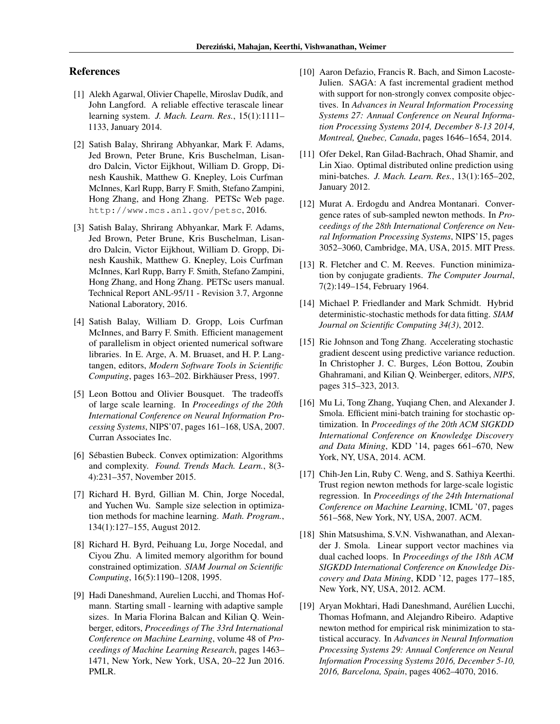# References

- [1] Alekh Agarwal, Olivier Chapelle, Miroslav Dudík, and John Langford. A reliable effective terascale linear learning system. *J. Mach. Learn. Res.*, 15(1):1111– 1133, January 2014.
- [2] Satish Balay, Shrirang Abhyankar, Mark F. Adams, Jed Brown, Peter Brune, Kris Buschelman, Lisandro Dalcin, Victor Eijkhout, William D. Gropp, Dinesh Kaushik, Matthew G. Knepley, Lois Curfman McInnes, Karl Rupp, Barry F. Smith, Stefano Zampini, Hong Zhang, and Hong Zhang. PETSc Web page. http://www.mcs.anl.gov/petsc, 2016.
- [3] Satish Balay, Shrirang Abhyankar, Mark F. Adams, Jed Brown, Peter Brune, Kris Buschelman, Lisandro Dalcin, Victor Eijkhout, William D. Gropp, Dinesh Kaushik, Matthew G. Knepley, Lois Curfman McInnes, Karl Rupp, Barry F. Smith, Stefano Zampini, Hong Zhang, and Hong Zhang. PETSc users manual. Technical Report ANL-95/11 - Revision 3.7, Argonne National Laboratory, 2016.
- [4] Satish Balay, William D. Gropp, Lois Curfman McInnes, and Barry F. Smith. Efficient management of parallelism in object oriented numerical software libraries. In E. Arge, A. M. Bruaset, and H. P. Langtangen, editors, *Modern Software Tools in Scientific Computing*, pages 163–202. Birkhäuser Press, 1997.
- [5] Leon Bottou and Olivier Bousquet. The tradeoffs of large scale learning. In *Proceedings of the 20th International Conference on Neural Information Processing Systems*, NIPS'07, pages 161–168, USA, 2007. Curran Associates Inc.
- [6] Sébastien Bubeck. Convex optimization: Algorithms and complexity. *Found. Trends Mach. Learn.*, 8(3- 4):231–357, November 2015.
- [7] Richard H. Byrd, Gillian M. Chin, Jorge Nocedal, and Yuchen Wu. Sample size selection in optimization methods for machine learning. *Math. Program.*, 134(1):127–155, August 2012.
- [8] Richard H. Byrd, Peihuang Lu, Jorge Nocedal, and Ciyou Zhu. A limited memory algorithm for bound constrained optimization. *SIAM Journal on Scientific Computing*, 16(5):1190–1208, 1995.
- [9] Hadi Daneshmand, Aurelien Lucchi, and Thomas Hofmann. Starting small - learning with adaptive sample sizes. In Maria Florina Balcan and Kilian Q. Weinberger, editors, *Proceedings of The 33rd International Conference on Machine Learning*, volume 48 of *Proceedings of Machine Learning Research*, pages 1463– 1471, New York, New York, USA, 20–22 Jun 2016. PMLR.
- [10] Aaron Defazio, Francis R. Bach, and Simon Lacoste-Julien. SAGA: A fast incremental gradient method with support for non-strongly convex composite objectives. In *Advances in Neural Information Processing Systems 27: Annual Conference on Neural Information Processing Systems 2014, December 8-13 2014, Montreal, Quebec, Canada*, pages 1646–1654, 2014.
- [11] Ofer Dekel, Ran Gilad-Bachrach, Ohad Shamir, and Lin Xiao. Optimal distributed online prediction using mini-batches. *J. Mach. Learn. Res.*, 13(1):165–202, January 2012.
- [12] Murat A. Erdogdu and Andrea Montanari. Convergence rates of sub-sampled newton methods. In *Proceedings of the 28th International Conference on Neural Information Processing Systems*, NIPS'15, pages 3052–3060, Cambridge, MA, USA, 2015. MIT Press.
- [13] R. Fletcher and C. M. Reeves. Function minimization by conjugate gradients. *The Computer Journal*, 7(2):149–154, February 1964.
- [14] Michael P. Friedlander and Mark Schmidt. Hybrid deterministic-stochastic methods for data fitting. *SIAM Journal on Scientific Computing 34(3)*, 2012.
- [15] Rie Johnson and Tong Zhang. Accelerating stochastic gradient descent using predictive variance reduction. In Christopher J. C. Burges, Léon Bottou, Zoubin Ghahramani, and Kilian Q. Weinberger, editors, *NIPS*, pages 315–323, 2013.
- [16] Mu Li, Tong Zhang, Yuqiang Chen, and Alexander J. Smola. Efficient mini-batch training for stochastic optimization. In *Proceedings of the 20th ACM SIGKDD International Conference on Knowledge Discovery and Data Mining*, KDD '14, pages 661–670, New York, NY, USA, 2014. ACM.
- [17] Chih-Jen Lin, Ruby C. Weng, and S. Sathiya Keerthi. Trust region newton methods for large-scale logistic regression. In *Proceedings of the 24th International Conference on Machine Learning*, ICML '07, pages 561–568, New York, NY, USA, 2007. ACM.
- [18] Shin Matsushima, S.V.N. Vishwanathan, and Alexander J. Smola. Linear support vector machines via dual cached loops. In *Proceedings of the 18th ACM SIGKDD International Conference on Knowledge Discovery and Data Mining*, KDD '12, pages 177–185, New York, NY, USA, 2012. ACM.
- [19] Aryan Mokhtari, Hadi Daneshmand, Aurélien Lucchi, Thomas Hofmann, and Alejandro Ribeiro. Adaptive newton method for empirical risk minimization to statistical accuracy. In *Advances in Neural Information Processing Systems 29: Annual Conference on Neural Information Processing Systems 2016, December 5-10, 2016, Barcelona, Spain*, pages 4062–4070, 2016.